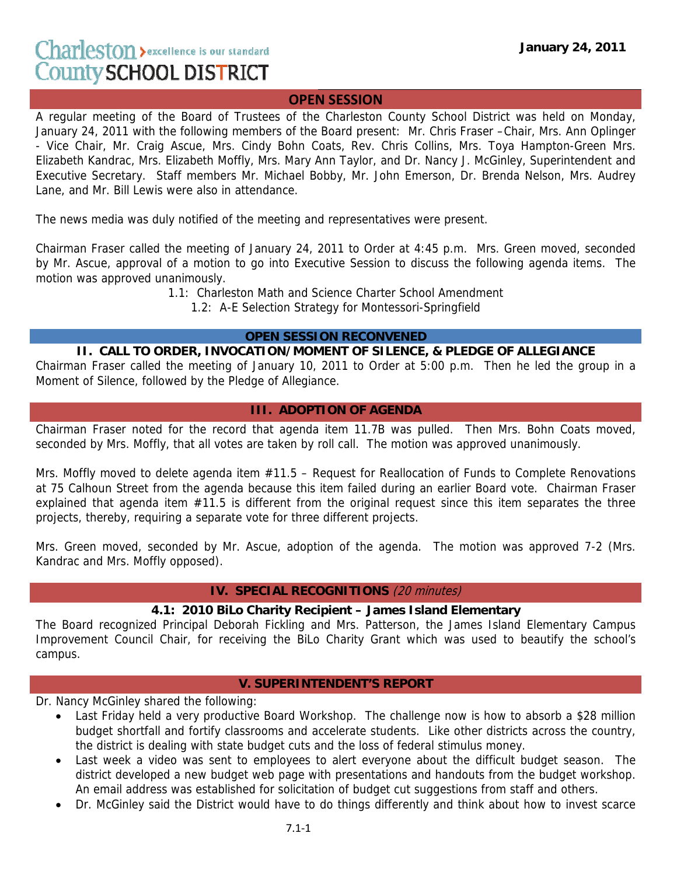## **OPEN SESSION**

A regular meeting of the Board of Trustees of the Charleston County School District was held on Monday, January 24, 2011 with the following members of the Board present: Mr. Chris Fraser –Chair, Mrs. Ann Oplinger - Vice Chair, Mr. Craig Ascue, Mrs. Cindy Bohn Coats, Rev. Chris Collins, Mrs. Toya Hampton-Green Mrs. Elizabeth Kandrac, Mrs. Elizabeth Moffly, Mrs. Mary Ann Taylor, and Dr. Nancy J. McGinley, Superintendent and Executive Secretary. Staff members Mr. Michael Bobby, Mr. John Emerson, Dr. Brenda Nelson, Mrs. Audrey Lane, and Mr. Bill Lewis were also in attendance.

The news media was duly notified of the meeting and representatives were present.

Chairman Fraser called the meeting of January 24, 2011 to Order at 4:45 p.m. Mrs. Green moved, seconded by Mr. Ascue, approval of a motion to go into Executive Session to discuss the following agenda items. The motion was approved unanimously.

1.1: Charleston Math and Science Charter School Amendment

1.2: A-E Selection Strategy for Montessori-Springfield

### **OPEN SESSION RECONVENED**

#### **II. CALL TO ORDER, INVOCATION/MOMENT OF SILENCE, & PLEDGE OF ALLEGIANCE**

Chairman Fraser called the meeting of January 10, 2011 to Order at 5:00 p.m. Then he led the group in a Moment of Silence, followed by the Pledge of Allegiance.

# **III. ADOPTION OF AGENDA**

Chairman Fraser noted for the record that agenda item 11.7B was pulled. Then Mrs. Bohn Coats moved, seconded by Mrs. Moffly, that all votes are taken by roll call. The motion was approved unanimously.

Mrs. Moffly moved to delete agenda item #11.5 - Request for Reallocation of Funds to Complete Renovations at 75 Calhoun Street from the agenda because this item failed during an earlier Board vote. Chairman Fraser explained that agenda item #11.5 is different from the original request since this item separates the three projects, thereby, requiring a separate vote for three different projects.

Mrs. Green moved, seconded by Mr. Ascue, adoption of the agenda. The motion was approved 7-2 (Mrs. Kandrac and Mrs. Moffly opposed).

### **IV. SPECIAL RECOGNITIONS** (20 minutes)

#### **4.1: 2010 BiLo Charity Recipient – James Island Elementary**

The Board recognized Principal Deborah Fickling and Mrs. Patterson, the James Island Elementary Campus Improvement Council Chair, for receiving the BiLo Charity Grant which was used to beautify the school's campus.

### **V. SUPERINTENDENT'S REPORT**

Dr. Nancy McGinley shared the following:

- Last Friday held a very productive Board Workshop. The challenge now is how to absorb a \$28 million budget shortfall and fortify classrooms and accelerate students. Like other districts across the country, the district is dealing with state budget cuts and the loss of federal stimulus money.
- Last week a video was sent to employees to alert everyone about the difficult budget season. The district developed a new budget web page with presentations and handouts from the budget workshop. An email address was established for solicitation of budget cut suggestions from staff and others.
- Dr. McGinley said the District would have to do things differently and think about how to invest scarce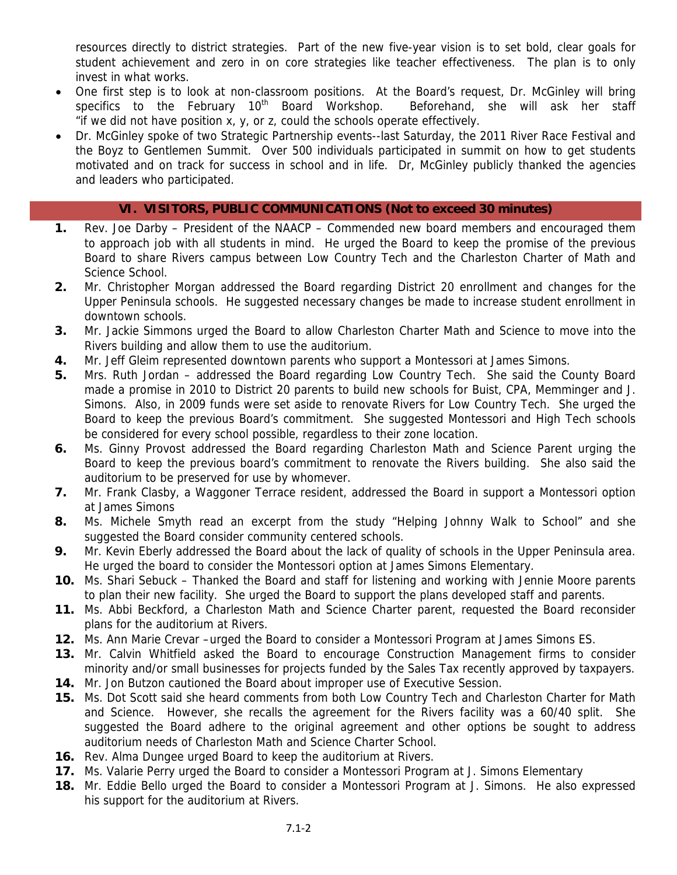resources directly to district strategies. Part of the new five-year vision is to set bold, clear goals for student achievement and zero in on core strategies like teacher effectiveness. The plan is to only invest in what works.

- One first step is to look at non-classroom positions. At the Board's request, Dr. McGinley will bring specifics to the February 10<sup>th</sup> Board Workshop. Beforehand, she will ask her staff "if we did not have position x, y, or z, could the schools operate effectively.
- Dr. McGinley spoke of two Strategic Partnership events--last Saturday, the 2011 River Race Festival and the Boyz to Gentlemen Summit. Over 500 individuals participated in summit on how to get students motivated and on track for success in school and in life. Dr, McGinley publicly thanked the agencies and leaders who participated.

## **VI. VISITORS, PUBLIC COMMUNICATIONS (Not to exceed 30 minutes)**

- **1.** Rev. Joe Darby President of the NAACP Commended new board members and encouraged them to approach job with all students in mind. He urged the Board to keep the promise of the previous Board to share Rivers campus between Low Country Tech and the Charleston Charter of Math and Science School.
- **2.** Mr. Christopher Morgan addressed the Board regarding District 20 enrollment and changes for the Upper Peninsula schools. He suggested necessary changes be made to increase student enrollment in downtown schools.
- **3.** Mr. Jackie Simmons urged the Board to allow Charleston Charter Math and Science to move into the Rivers building and allow them to use the auditorium.
- **4.** Mr. Jeff Gleim represented downtown parents who support a Montessori at James Simons.
- **5.** Mrs. Ruth Jordan addressed the Board regarding Low Country Tech. She said the County Board made a promise in 2010 to District 20 parents to build new schools for Buist, CPA, Memminger and J. Simons. Also, in 2009 funds were set aside to renovate Rivers for Low Country Tech. She urged the Board to keep the previous Board's commitment. She suggested Montessori and High Tech schools be considered for every school possible, regardless to their zone location.
- **6.** Ms. Ginny Provost addressed the Board regarding Charleston Math and Science Parent urging the Board to keep the previous board's commitment to renovate the Rivers building. She also said the auditorium to be preserved for use by whomever.
- **7.** Mr. Frank Clasby, a Waggoner Terrace resident, addressed the Board in support a Montessori option at James Simons
- **8.** Ms. Michele Smyth read an excerpt from the study "Helping Johnny Walk to School" and she suggested the Board consider community centered schools.
- **9.** Mr. Kevin Eberly addressed the Board about the lack of quality of schools in the Upper Peninsula area. He urged the board to consider the Montessori option at James Simons Elementary.
- **10.** Ms. Shari Sebuck Thanked the Board and staff for listening and working with Jennie Moore parents to plan their new facility. She urged the Board to support the plans developed staff and parents.
- **11.** Ms. Abbi Beckford, a Charleston Math and Science Charter parent, requested the Board reconsider plans for the auditorium at Rivers.
- **12.** Ms. Ann Marie Crevar –urged the Board to consider a Montessori Program at James Simons ES.
- **13.** Mr. Calvin Whitfield asked the Board to encourage Construction Management firms to consider minority and/or small businesses for projects funded by the Sales Tax recently approved by taxpayers.
- **14.** Mr. Jon Butzon cautioned the Board about improper use of Executive Session.
- **15.** Ms. Dot Scott said she heard comments from both Low Country Tech and Charleston Charter for Math and Science. However, she recalls the agreement for the Rivers facility was a 60/40 split. She suggested the Board adhere to the original agreement and other options be sought to address auditorium needs of Charleston Math and Science Charter School.
- **16.** Rev. Alma Dungee urged Board to keep the auditorium at Rivers.
- **17.** Ms. Valarie Perry urged the Board to consider a Montessori Program at J. Simons Elementary
- **18.** Mr. Eddie Bello urged the Board to consider a Montessori Program at J. Simons. He also expressed his support for the auditorium at Rivers.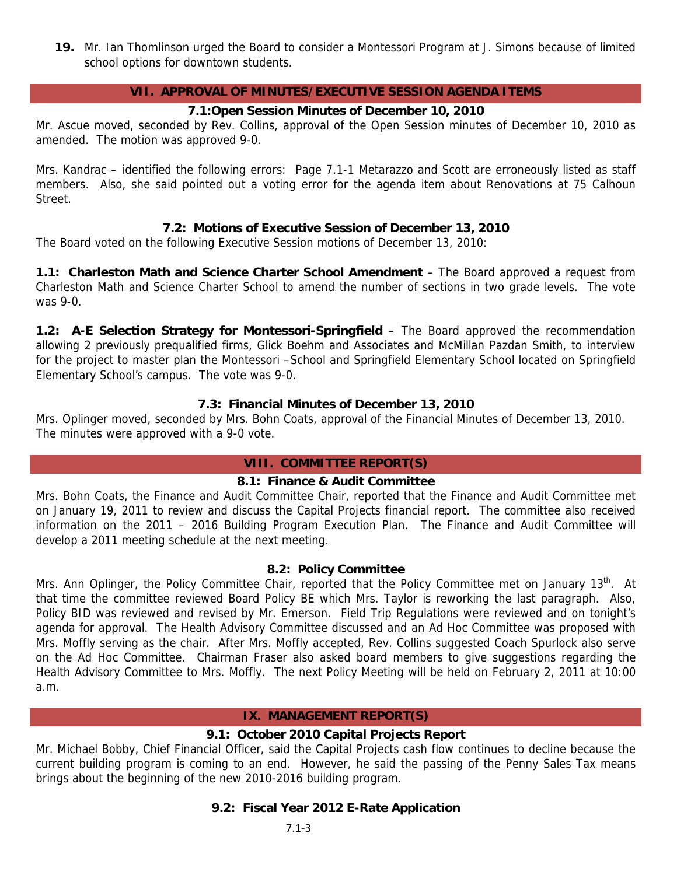**19.** Mr. Ian Thomlinson urged the Board to consider a Montessori Program at J. Simons because of limited school options for downtown students.

## **VII. APPROVAL OF MINUTES/EXECUTIVE SESSION AGENDA ITEMS**

## **7.1:Open Session Minutes of December 10, 2010**

Mr. Ascue moved, seconded by Rev. Collins, approval of the Open Session minutes of December 10, 2010 as amended. The motion was approved 9-0.

Mrs. Kandrac – identified the following errors: Page 7.1-1 Metarazzo and Scott are erroneously listed as staff members. Also, she said pointed out a voting error for the agenda item about Renovations at 75 Calhoun Street.

## **7.2: Motions of Executive Session of December 13, 2010**

The Board voted on the following Executive Session motions of December 13, 2010:

**1.1: Charleston Math and Science Charter School Amendment** – The Board approved a request from Charleston Math and Science Charter School to amend the number of sections in two grade levels. The vote was 9-0.

**1.2: A-E Selection Strategy for Montessori-Springfield** – The Board approved the recommendation allowing 2 previously prequalified firms, Glick Boehm and Associates and McMillan Pazdan Smith, to interview for the project to master plan the Montessori –School and Springfield Elementary School located on Springfield Elementary School's campus. The vote was 9-0.

## **7.3: Financial Minutes of December 13, 2010**

Mrs. Oplinger moved, seconded by Mrs. Bohn Coats, approval of the Financial Minutes of December 13, 2010. The minutes were approved with a 9-0 vote.

## **VIII. COMMITTEE REPORT(S)**

### **8.1: Finance & Audit Committee**

Mrs. Bohn Coats, the Finance and Audit Committee Chair, reported that the Finance and Audit Committee met on January 19, 2011 to review and discuss the Capital Projects financial report. The committee also received information on the 2011 – 2016 Building Program Execution Plan. The Finance and Audit Committee will develop a 2011 meeting schedule at the next meeting.

### **8.2: Policy Committee**

Mrs. Ann Oplinger, the Policy Committee Chair, reported that the Policy Committee met on January 13<sup>th</sup>. At that time the committee reviewed Board Policy BE which Mrs. Taylor is reworking the last paragraph. Also, Policy BID was reviewed and revised by Mr. Emerson. Field Trip Regulations were reviewed and on tonight's agenda for approval. The Health Advisory Committee discussed and an Ad Hoc Committee was proposed with Mrs. Moffly serving as the chair. After Mrs. Moffly accepted, Rev. Collins suggested Coach Spurlock also serve on the Ad Hoc Committee. Chairman Fraser also asked board members to give suggestions regarding the Health Advisory Committee to Mrs. Moffly. The next Policy Meeting will be held on February 2, 2011 at 10:00 a.m.

## **IX. MANAGEMENT REPORT(S)**

## **9.1: October 2010 Capital Projects Report**

Mr. Michael Bobby, Chief Financial Officer, said the Capital Projects cash flow continues to decline because the current building program is coming to an end. However, he said the passing of the Penny Sales Tax means brings about the beginning of the new 2010-2016 building program.

### **9.2: Fiscal Year 2012 E-Rate Application**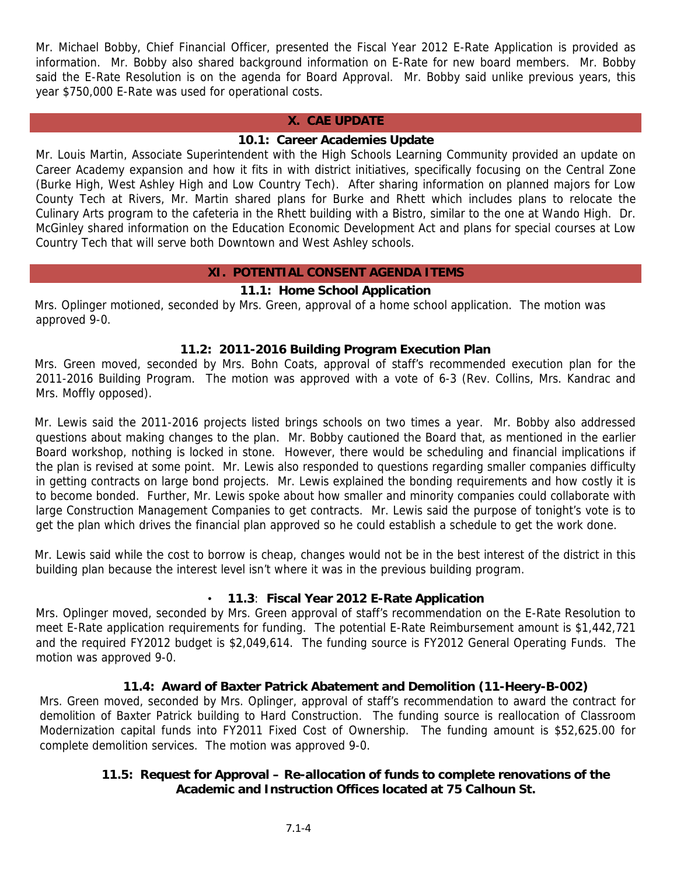Mr. Michael Bobby, Chief Financial Officer, presented the Fiscal Year 2012 E-Rate Application is provided as information. Mr. Bobby also shared background information on E-Rate for new board members. Mr. Bobby said the E-Rate Resolution is on the agenda for Board Approval. Mr. Bobby said unlike previous years, this year \$750,000 E-Rate was used for operational costs.

#### **X. CAE UPDATE**

### **10.1: Career Academies Update**

Mr. Louis Martin, Associate Superintendent with the High Schools Learning Community provided an update on Career Academy expansion and how it fits in with district initiatives, specifically focusing on the Central Zone (Burke High, West Ashley High and Low Country Tech). After sharing information on planned majors for Low County Tech at Rivers, Mr. Martin shared plans for Burke and Rhett which includes plans to relocate the Culinary Arts program to the cafeteria in the Rhett building with a Bistro, similar to the one at Wando High. Dr. McGinley shared information on the Education Economic Development Act and plans for special courses at Low Country Tech that will serve both Downtown and West Ashley schools.

#### **XI. POTENTIAL CONSENT AGENDA ITEMS**

#### **11.1: Home School Application**

Mrs. Oplinger motioned, seconded by Mrs. Green, approval of a home school application. The motion was approved 9-0.

#### **11.2: 2011-2016 Building Program Execution Plan**

Mrs. Green moved, seconded by Mrs. Bohn Coats, approval of staff's recommended execution plan for the 2011-2016 Building Program. The motion was approved with a vote of 6-3 (Rev. Collins, Mrs. Kandrac and Mrs. Moffly opposed).

Mr. Lewis said the 2011-2016 projects listed brings schools on two times a year. Mr. Bobby also addressed questions about making changes to the plan. Mr. Bobby cautioned the Board that, as mentioned in the earlier Board workshop, nothing is locked in stone. However, there would be scheduling and financial implications if the plan is revised at some point. Mr. Lewis also responded to questions regarding smaller companies difficulty in getting contracts on large bond projects. Mr. Lewis explained the bonding requirements and how costly it is to become bonded. Further, Mr. Lewis spoke about how smaller and minority companies could collaborate with large Construction Management Companies to get contracts. Mr. Lewis said the purpose of tonight's vote is to get the plan which drives the financial plan approved so he could establish a schedule to get the work done.

Mr. Lewis said while the cost to borrow is cheap, changes would not be in the best interest of the district in this building plan because the interest level isn't where it was in the previous building program.

#### • **11.3**: **Fiscal Year 2012 E-Rate Application**

Mrs. Oplinger moved, seconded by Mrs. Green approval of staff's recommendation on the E-Rate Resolution to meet E-Rate application requirements for funding. The potential E-Rate Reimbursement amount is \$1,442,721 and the required FY2012 budget is \$2,049,614. The funding source is FY2012 General Operating Funds. The motion was approved 9-0.

### **11.4: Award of Baxter Patrick Abatement and Demolition (11-Heery-B-002)**

Mrs. Green moved, seconded by Mrs. Oplinger, approval of staff's recommendation to award the contract for demolition of Baxter Patrick building to Hard Construction. The funding source is reallocation of Classroom Modernization capital funds into FY2011 Fixed Cost of Ownership. The funding amount is \$52,625.00 for complete demolition services. The motion was approved 9-0.

### **11.5: Request for Approval – Re-allocation of funds to complete renovations of the Academic and Instruction Offices located at 75 Calhoun St.**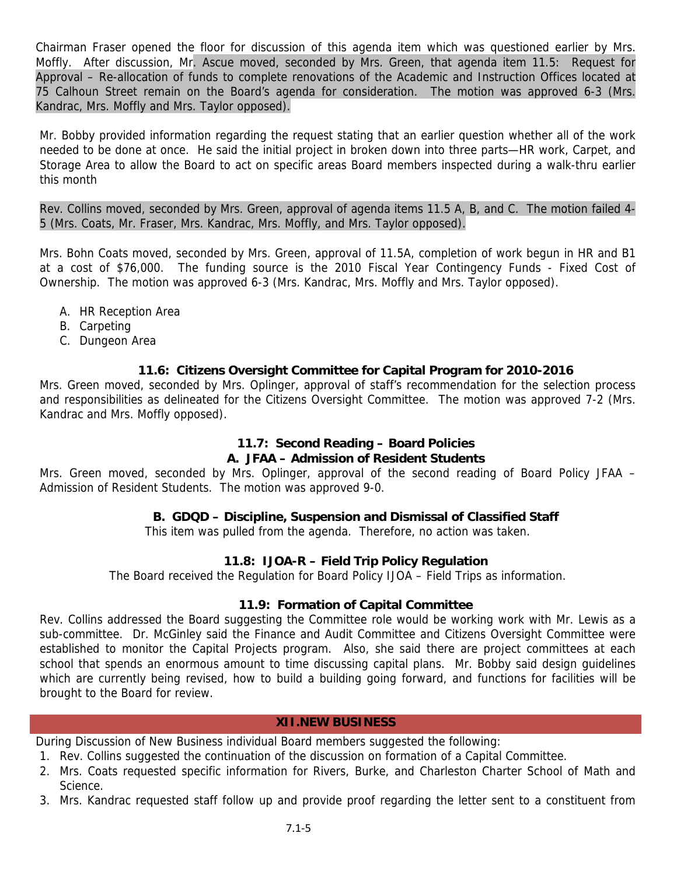Chairman Fraser opened the floor for discussion of this agenda item which was questioned earlier by Mrs. Moffly. After discussion, Mr. Ascue moved, seconded by Mrs. Green, that agenda item 11.5: Request for Approval – Re-allocation of funds to complete renovations of the Academic and Instruction Offices located at 75 Calhoun Street remain on the Board's agenda for consideration. The motion was approved 6-3 (Mrs. Kandrac, Mrs. Moffly and Mrs. Taylor opposed).

Mr. Bobby provided information regarding the request stating that an earlier question whether all of the work needed to be done at once. He said the initial project in broken down into three parts—HR work, Carpet, and Storage Area to allow the Board to act on specific areas Board members inspected during a walk-thru earlier this month

Rev. Collins moved, seconded by Mrs. Green, approval of agenda items 11.5 A, B, and C. The motion failed 4- 5 (Mrs. Coats, Mr. Fraser, Mrs. Kandrac, Mrs. Moffly, and Mrs. Taylor opposed).

Mrs. Bohn Coats moved, seconded by Mrs. Green, approval of 11.5A, completion of work begun in HR and B1 at a cost of \$76,000. The funding source is the 2010 Fiscal Year Contingency Funds - Fixed Cost of Ownership. The motion was approved 6-3 (Mrs. Kandrac, Mrs. Moffly and Mrs. Taylor opposed).

- A. HR Reception Area
- B. Carpeting
- C. Dungeon Area

## **11.6: Citizens Oversight Committee for Capital Program for 2010-2016**

Mrs. Green moved, seconded by Mrs. Oplinger, approval of staff's recommendation for the selection process and responsibilities as delineated for the Citizens Oversight Committee. The motion was approved 7-2 (Mrs. Kandrac and Mrs. Moffly opposed).

# **11.7: Second Reading – Board Policies**

### **A. JFAA – Admission of Resident Students**

Mrs. Green moved, seconded by Mrs. Oplinger, approval of the second reading of Board Policy JFAA – Admission of Resident Students. The motion was approved 9-0.

## **B. GDQD – Discipline, Suspension and Dismissal of Classified Staff**

This item was pulled from the agenda. Therefore, no action was taken.

## **11.8: IJOA-R – Field Trip Policy Regulation**

The Board received the Regulation for Board Policy IJOA – Field Trips as information.

### **11.9: Formation of Capital Committee**

Rev. Collins addressed the Board suggesting the Committee role would be working work with Mr. Lewis as a sub-committee. Dr. McGinley said the Finance and Audit Committee and Citizens Oversight Committee were established to monitor the Capital Projects program. Also, she said there are project committees at each school that spends an enormous amount to time discussing capital plans. Mr. Bobby said design guidelines which are currently being revised, how to build a building going forward, and functions for facilities will be brought to the Board for review.

#### **XII.NEW BUSINESS**

During Discussion of New Business individual Board members suggested the following:

- 1. Rev. Collins suggested the continuation of the discussion on formation of a Capital Committee.
- 2. Mrs. Coats requested specific information for Rivers, Burke, and Charleston Charter School of Math and Science.
- 3. Mrs. Kandrac requested staff follow up and provide proof regarding the letter sent to a constituent from